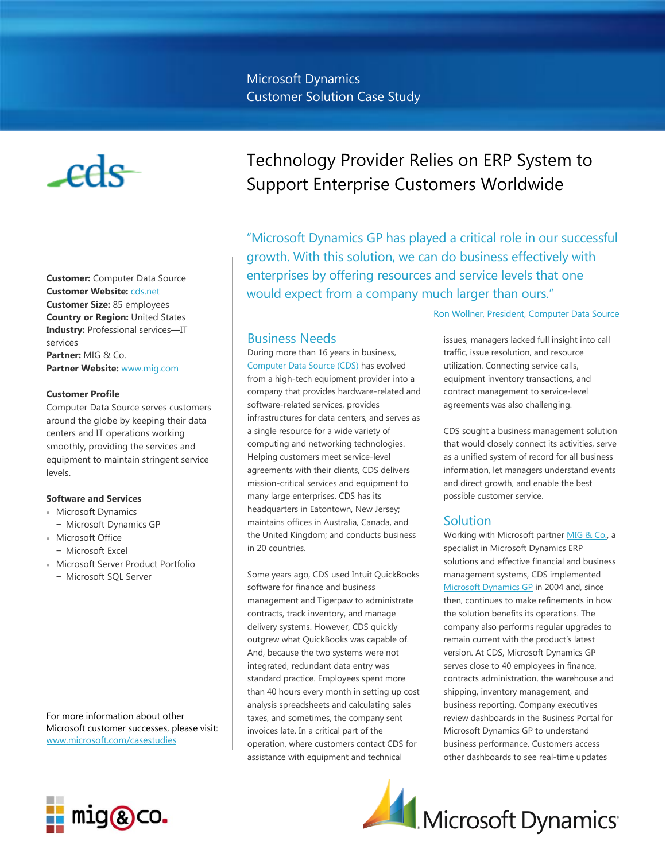# $-\text{eds}$

**Customer:** Computer Data Source **Customer Website:** [cds.net](http://cds.net/) **Customer Size:** 85 employees **Country or Region:** United States **Industry:** Professional services—IT services

**Partner:** MIG & Co. **Partner Website:** [www.mig.com](http://www.mig.com/)

#### **Customer Profile**

Computer Data Source serves customers around the globe by keeping their data centers and IT operations working smoothly, providing the services and equipment to maintain stringent service levels.

#### **Software and Services**

- Microsoft Dynamics
- − Microsoft Dynamics GP
- Microsoft Office
- − Microsoft Excel
- Microsoft Server Product Portfolio
	- − Microsoft SQL Server

For more information about other Microsoft customer successes, please visit: [www.microsoft.com/casestudies](http://www.microsoft.com/casestudies)

# Technology Provider Relies on ERP System to Support Enterprise Customers Worldwide

"Microsoft Dynamics GP has played a critical role in our successful growth. With this solution, we can do business effectively with enterprises by offering resources and service levels that one would expect from a company much larger than ours."

## Business Needs

During more than 16 years in business, [Computer Data Source \(CDS\)](http://cds.net/) has evolved from a high-tech equipment provider into a company that provides hardware-related and software-related services, provides infrastructures for data centers, and serves as a single resource for a wide variety of computing and networking technologies. Helping customers meet service-level agreements with their clients, CDS delivers mission-critical services and equipment to many large enterprises. CDS has its headquarters in Eatontown, New Jersey; maintains offices in Australia, Canada, and the United Kingdom; and conducts business in 20 countries.

Some years ago, CDS used Intuit QuickBooks software for finance and business management and Tigerpaw to administrate contracts, track inventory, and manage delivery systems. However, CDS quickly outgrew what QuickBooks was capable of. And, because the two systems were not integrated, redundant data entry was standard practice. Employees spent more than 40 hours every month in setting up cost analysis spreadsheets and calculating sales taxes, and sometimes, the company sent invoices late. In a critical part of the operation, where customers contact CDS for assistance with equipment and technical

Ron Wollner, President, Computer Data Source

issues, managers lacked full insight into call traffic, issue resolution, and resource utilization. Connecting service calls, equipment inventory transactions, and contract management to service-level agreements was also challenging.

CDS sought a business management solution that would closely connect its activities, serve as a unified system of record for all business information, let managers understand events and direct growth, and enable the best possible customer service.

# **Solution**

Working with Microsoft partne[r MIG & Co.,](http://www.mig.com/) a specialist in Microsoft Dynamics ERP solutions and effective financial and business management systems, CDS implemented [Microsoft Dynamics GP](http://www.microsoft.com/en-us/dynamics/erp-gp-overview.aspx) in 2004 and, since then, continues to make refinements in how the solution benefits its operations. The company also performs regular upgrades to remain current with the product's latest version. At CDS, Microsoft Dynamics GP serves close to 40 employees in finance, contracts administration, the warehouse and shipping, inventory management, and business reporting. Company executives review dashboards in the Business Portal for Microsoft Dynamics GP to understand business performance. Customers access other dashboards to see real-time updates

Microsoft Dynamics